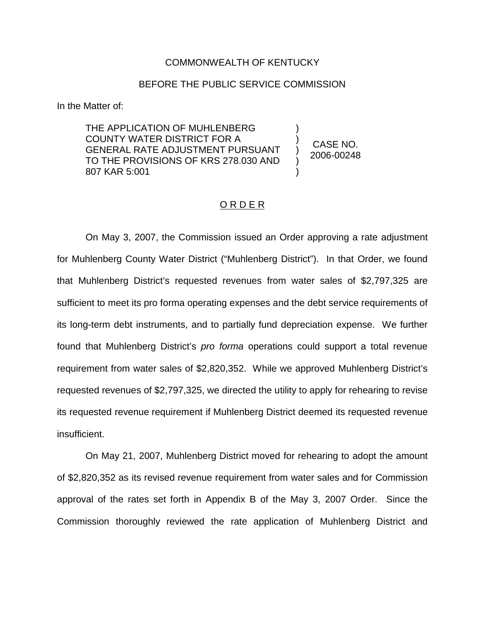#### COMMONWEALTH OF KENTUCKY

### BEFORE THE PUBLIC SERVICE COMMISSION

In the Matter of:

THE APPLICATION OF MUHLENBERG COUNTY WATER DISTRICT FOR A GENERAL RATE ADJUSTMENT PURSUANT TO THE PROVISIONS OF KRS 278.030 AND 807 KAR 5:001

CASE NO. 2006-00248

) ) ) ) )

### O R D E R

On May 3, 2007, the Commission issued an Order approving a rate adjustment for Muhlenberg County Water District ("Muhlenberg District"). In that Order, we found that Muhlenberg District's requested revenues from water sales of \$2,797,325 are sufficient to meet its pro forma operating expenses and the debt service requirements of its long-term debt instruments, and to partially fund depreciation expense. We further found that Muhlenberg District's *pro forma* operations could support a total revenue requirement from water sales of \$2,820,352. While we approved Muhlenberg District's requested revenues of \$2,797,325, we directed the utility to apply for rehearing to revise its requested revenue requirement if Muhlenberg District deemed its requested revenue insufficient.

On May 21, 2007, Muhlenberg District moved for rehearing to adopt the amount of \$2,820,352 as its revised revenue requirement from water sales and for Commission approval of the rates set forth in Appendix B of the May 3, 2007 Order. Since the Commission thoroughly reviewed the rate application of Muhlenberg District and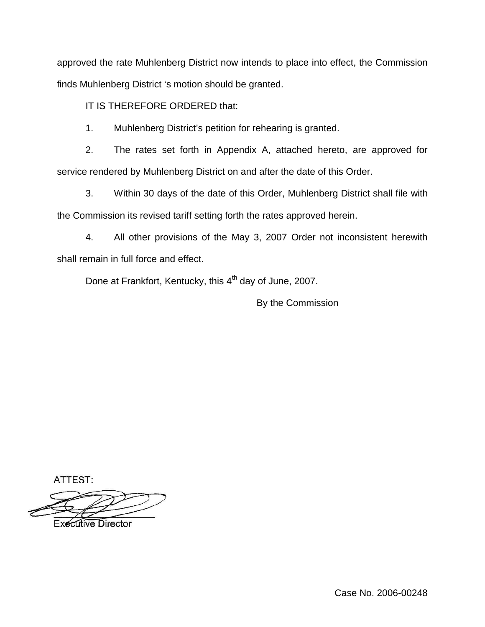approved the rate Muhlenberg District now intends to place into effect, the Commission finds Muhlenberg District 's motion should be granted.

IT IS THEREFORE ORDERED that:

1. Muhlenberg District's petition for rehearing is granted.

2. The rates set forth in Appendix A, attached hereto, are approved for service rendered by Muhlenberg District on and after the date of this Order.

3. Within 30 days of the date of this Order, Muhlenberg District shall file with the Commission its revised tariff setting forth the rates approved herein.

4. All other provisions of the May 3, 2007 Order not inconsistent herewith shall remain in full force and effect.

Done at Frankfort, Kentucky, this 4<sup>th</sup> day of June, 2007.

By the Commission

ATTEST:

**Executive Director** 

Case No. 2006-00248